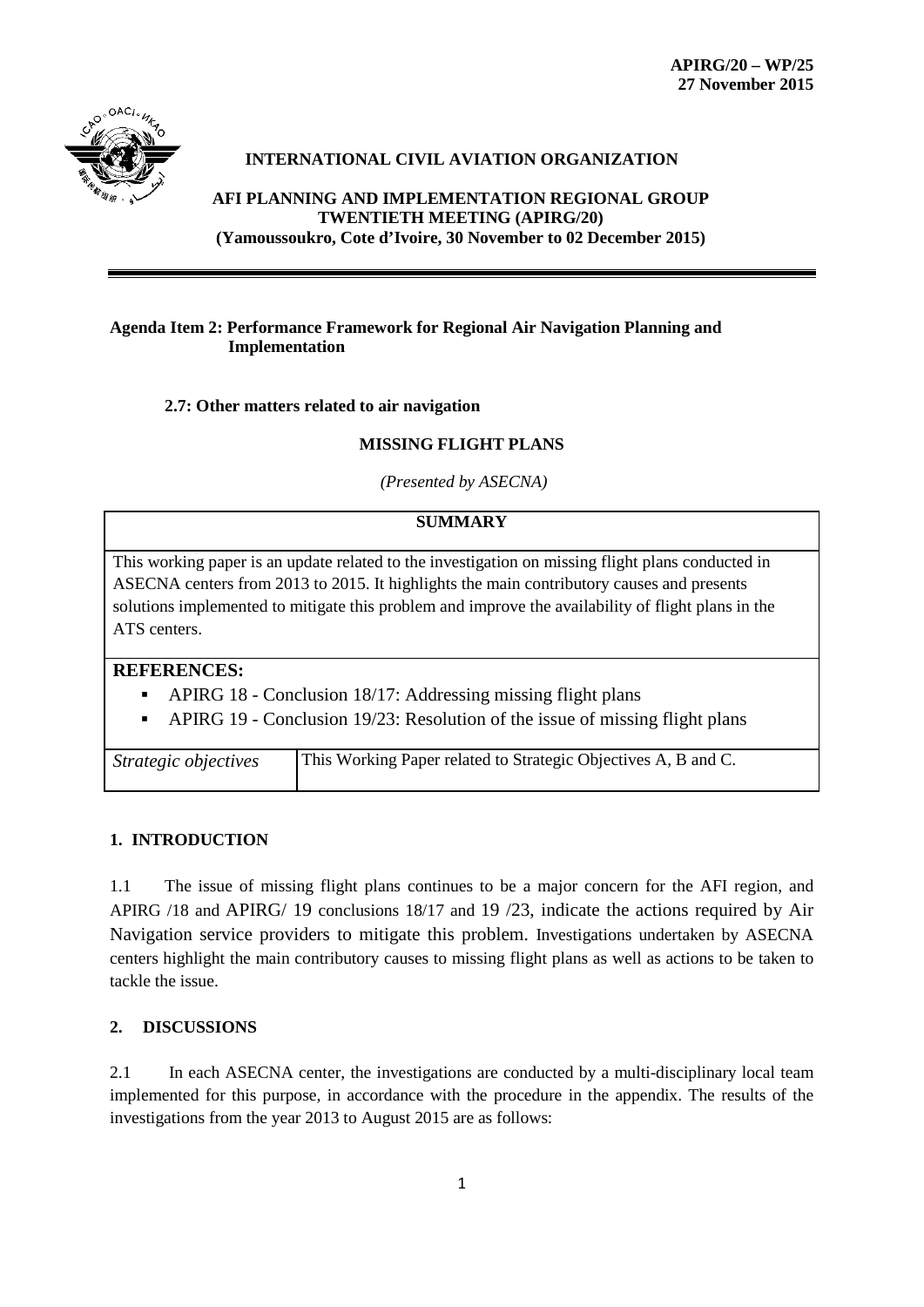

# **INTERNATIONAL CIVIL AVIATION ORGANIZATION**

**AFI PLANNING AND IMPLEMENTATION REGIONAL GROUP TWENTIETH MEETING (APIRG/20) (Yamoussoukro, Cote d'Ivoire, 30 November to 02 December 2015)**

### **Agenda Item 2: Performance Framework for Regional Air Navigation Planning and Implementation**

## **2.7: Other matters related to air navigation**

#### **MISSING FLIGHT PLANS**

*(Presented by ASECNA)*

## **SUMMARY**

This working paper is an update related to the investigation on missing flight plans conducted in ASECNA centers from 2013 to 2015. It highlights the main contributory causes and presents solutions implemented to mitigate this problem and improve the availability of flight plans in the ATS centers.

#### **REFERENCES:**

- APIRG 18 Conclusion 18/17: Addressing missing flight plans
- APIRG 19 Conclusion 19/23: Resolution of the issue of missing flight plans

| Strategic objectives | This Working Paper related to Strategic Objectives A, B and C. |
|----------------------|----------------------------------------------------------------|

#### **1. INTRODUCTION**

1.1 The issue of missing flight plans continues to be a major concern for the AFI region, and APIRG /18 and APIRG/ 19 conclusions 18/17 and 19 /23, indicate the actions required by Air Navigation service providers to mitigate this problem. Investigations undertaken by ASECNA centers highlight the main contributory causes to missing flight plans as well as actions to be taken to tackle the issue.

# **2. DISCUSSIONS**

2.1 In each ASECNA center, the investigations are conducted by a multi-disciplinary local team implemented for this purpose, in accordance with the procedure in the appendix. The results of the investigations from the year 2013 to August 2015 are as follows: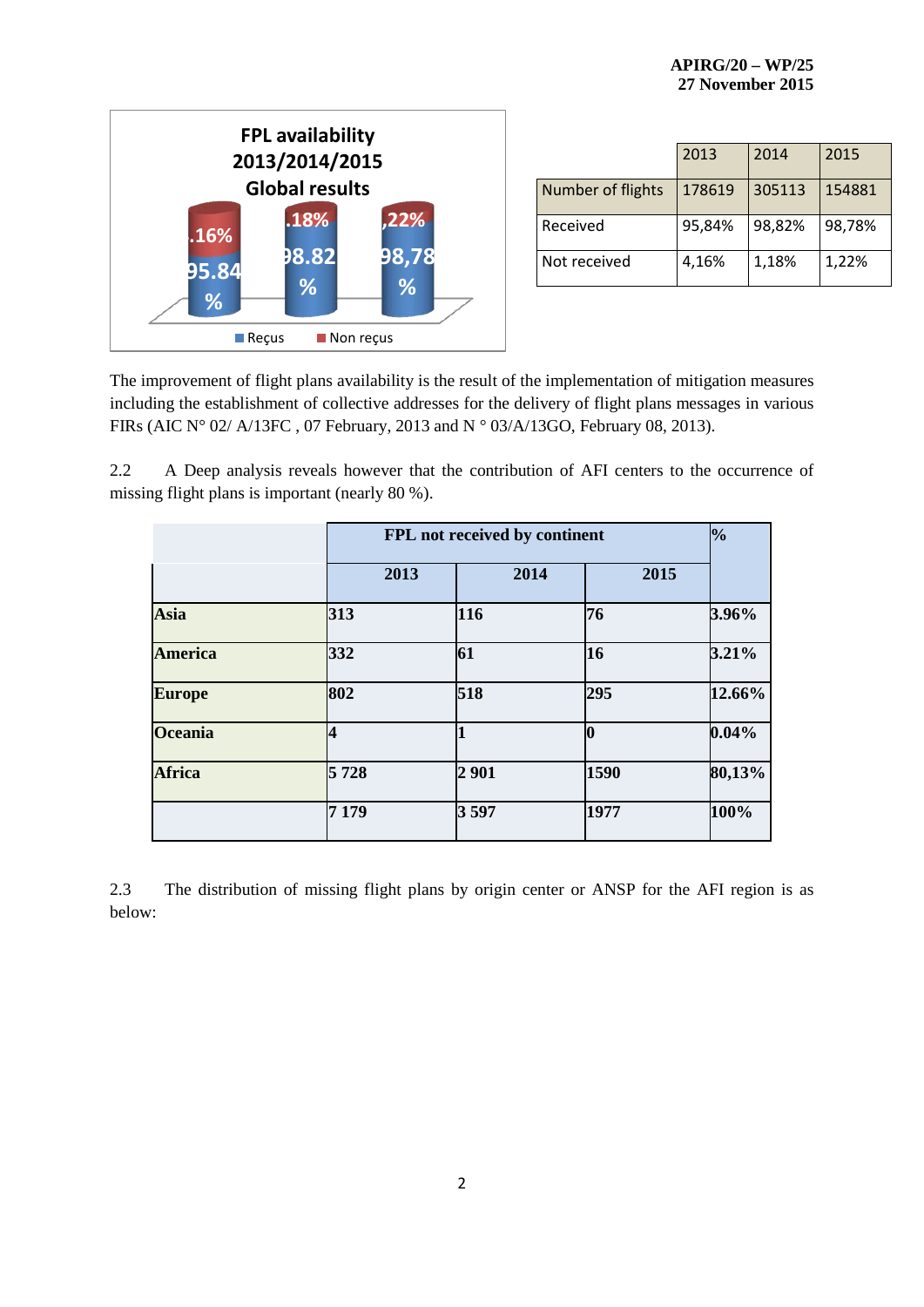

|                   | 2013   | 2014   | 2015   |
|-------------------|--------|--------|--------|
| Number of flights | 178619 | 305113 | 154881 |
| Received          | 95,84% | 98,82% | 98,78% |
| Not received      | 4,16%  | 1,18%  | 1,22%  |

The improvement of flight plans availability is the result of the implementation of mitigation measures including the establishment of collective addresses for the delivery of flight plans messages in various FIRs (AIC N° 02/ A/13FC , 07 February, 2013 and N ° 03/A/13GO, February 08, 2013).

2.2 A Deep analysis reveals however that the contribution of AFI centers to the occurrence of missing flight plans is important (nearly 80 %).

|         | FPL not received by continent |      |          |  |  |  |  |
|---------|-------------------------------|------|----------|--|--|--|--|
| 2013    | 2014                          | 2015 |          |  |  |  |  |
| 313     | 116                           | 76   | 3.96%    |  |  |  |  |
| 332     | 61                            | 16   | 3.21%    |  |  |  |  |
| 802     | 518                           | 295  | 12.66%   |  |  |  |  |
| 4       |                               | 0    | $0.04\%$ |  |  |  |  |
| 5728    | 2901                          | 1590 | 80,13%   |  |  |  |  |
| 7 1 7 9 | 3597                          | 1977 | 100%     |  |  |  |  |
|         |                               |      |          |  |  |  |  |

2.3 The distribution of missing flight plans by origin center or ANSP for the AFI region is as below: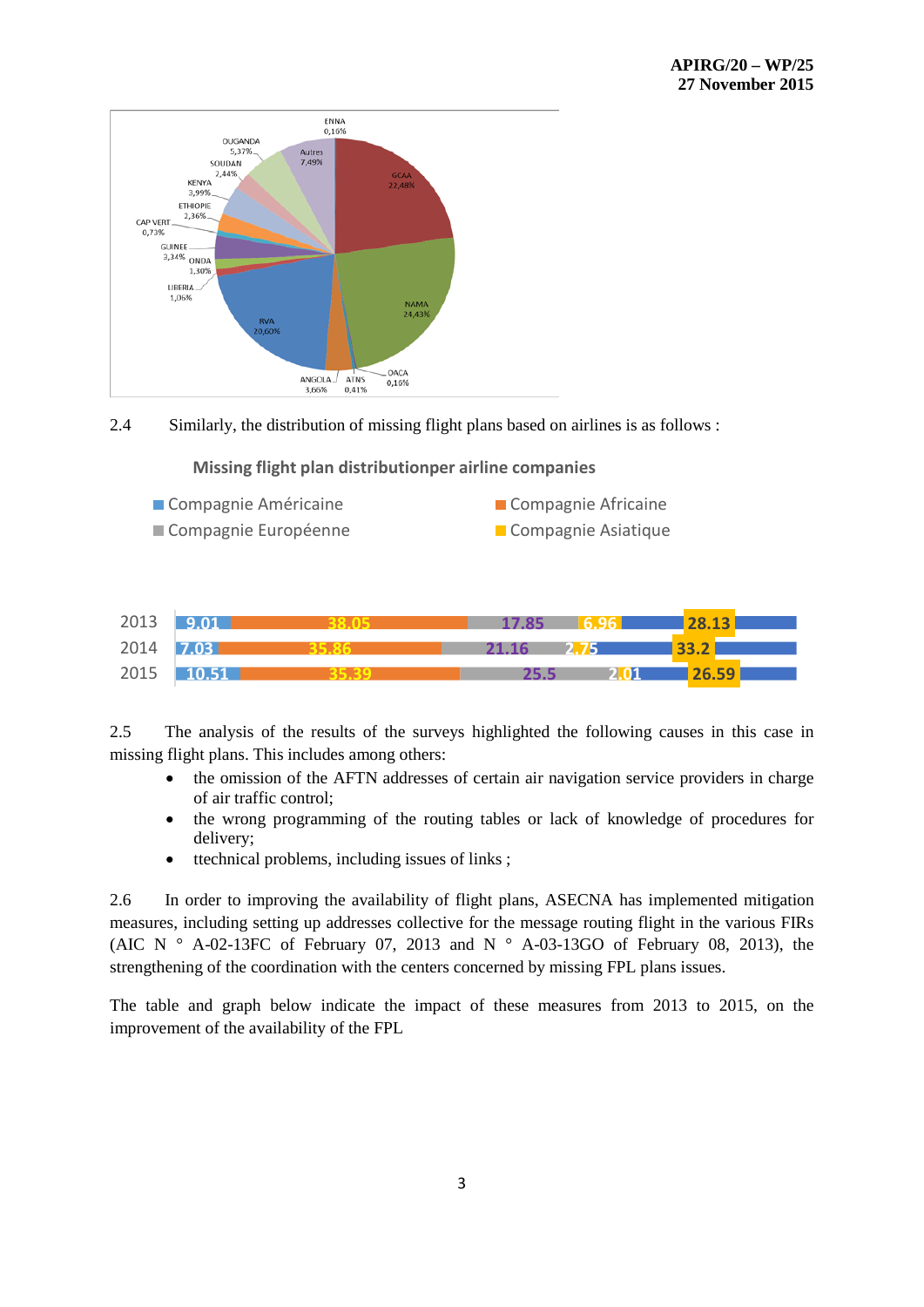





2.5 The analysis of the results of the surveys highlighted the following causes in this case in missing flight plans. This includes among others:

- the omission of the AFTN addresses of certain air navigation service providers in charge of air traffic control;
- the wrong programming of the routing tables or lack of knowledge of procedures for delivery;
- ttechnical problems, including issues of links;

2.6 In order to improving the availability of flight plans, ASECNA has implemented mitigation measures, including setting up addresses collective for the message routing flight in the various FIRs (AIC N  $\degree$  A-02-13FC of February 07, 2013 and N  $\degree$  A-03-13GO of February 08, 2013), the strengthening of the coordination with the centers concerned by missing FPL plans issues.

The table and graph below indicate the impact of these measures from 2013 to 2015, on the improvement of the availability of the FPL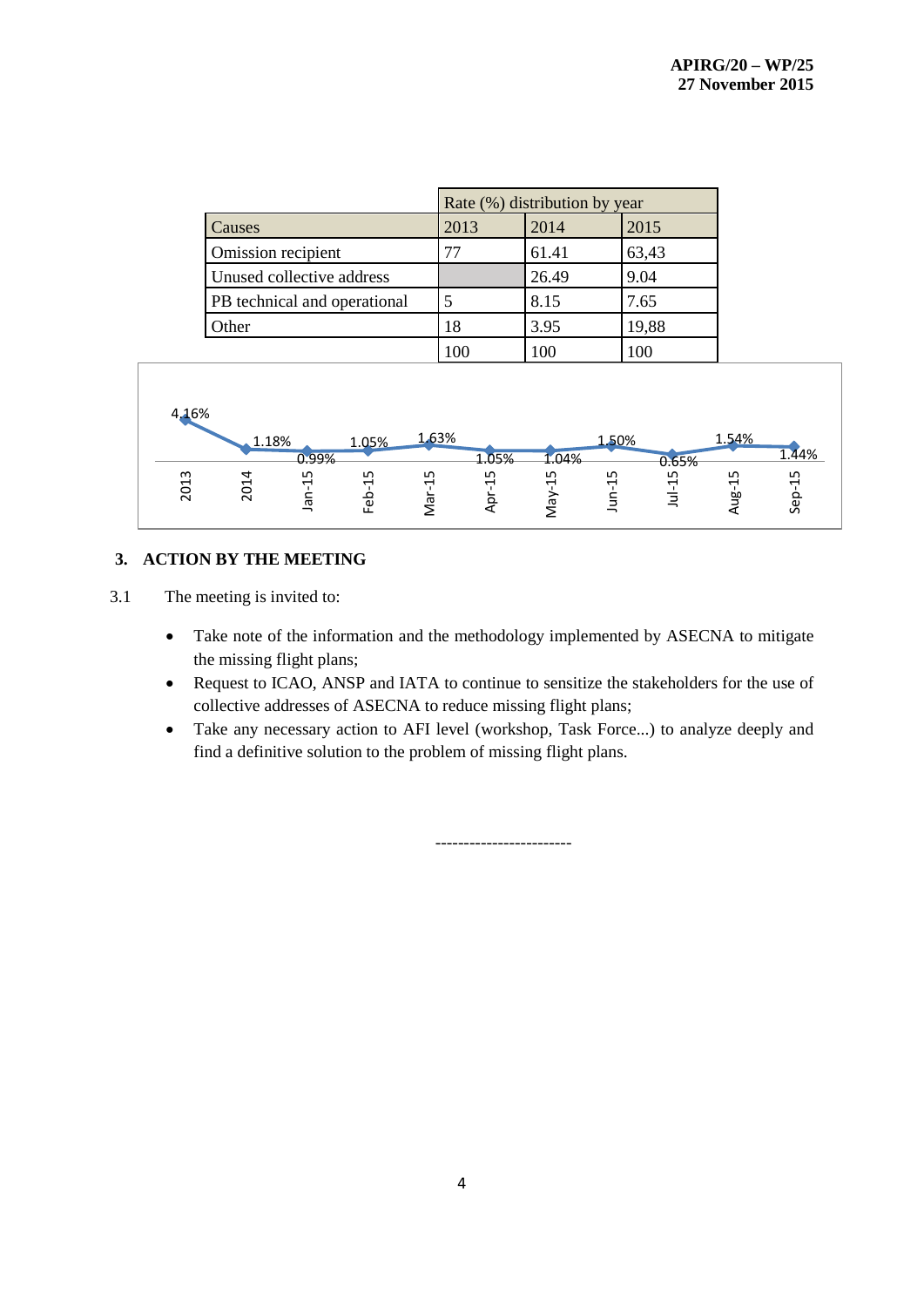|                              |      | Rate (%) distribution by year |       |  |  |  |  |
|------------------------------|------|-------------------------------|-------|--|--|--|--|
| Causes                       | 2013 | 2014                          | 2015  |  |  |  |  |
| Omission recipient           | 77   | 61.41                         | 63,43 |  |  |  |  |
| Unused collective address    |      | 26.49                         | 9.04  |  |  |  |  |
| PB technical and operational |      | 8.15                          | 7.65  |  |  |  |  |
| Other                        | 18   | 3.95                          | 19,88 |  |  |  |  |
|                              | 100  | LOC                           | 100   |  |  |  |  |



# **3. ACTION BY THE MEETING**

3.1 The meeting is invited to:

- Take note of the information and the methodology implemented by ASECNA to mitigate the missing flight plans;
- Request to ICAO, ANSP and IATA to continue to sensitize the stakeholders for the use of collective addresses of ASECNA to reduce missing flight plans;
- Take any necessary action to AFI level (workshop, Task Force...) to analyze deeply and find a definitive solution to the problem of missing flight plans.

------------------------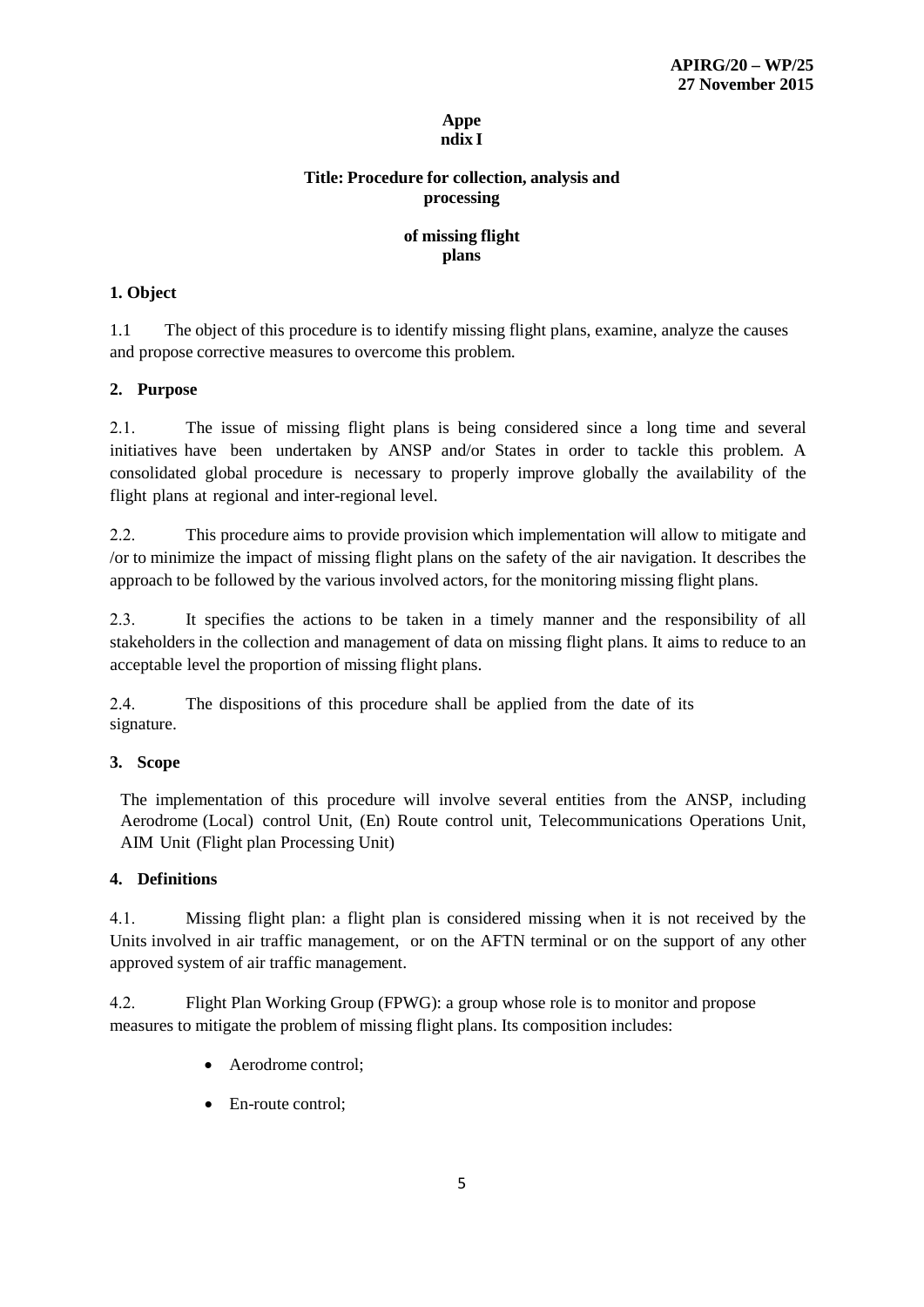#### **Appe ndix I**

# **Title: Procedure for collection, analysis and processing**

## **of missing flight plans**

## **1. Object**

1.1 The object of this procedure is to identify missing flight plans, examine, analyze the causes and propose corrective measures to overcome this problem.

## **2. Purpose**

2.1. The issue of missing flight plans is being considered since a long time and several initiatives have been undertaken by ANSP and/or States in order to tackle this problem. A consolidated global procedure is necessary to properly improve globally the availability of the flight plans at regional and inter-regional level.

2.2. This procedure aims to provide provision which implementation will allow to mitigate and /or to minimize the impact of missing flight plans on the safety of the air navigation. It describes the approach to be followed by the various involved actors, for the monitoring missing flight plans.

2.3. It specifies the actions to be taken in a timely manner and the responsibility of all stakeholders in the collection and management of data on missing flight plans. It aims to reduce to an acceptable level the proportion of missing flight plans.

2.4. The dispositions of this procedure shall be applied from the date of its signature.

# **3. Scope**

The implementation of this procedure will involve several entities from the ANSP, including Aerodrome (Local) control Unit, (En) Route control unit, Telecommunications Operations Unit, AIM Unit (Flight plan Processing Unit)

## **4. Definitions**

4.1. Missing flight plan: a flight plan is considered missing when it is not received by the Units involved in air traffic management, or on the AFTN terminal or on the support of any other approved system of air traffic management.

4.2. Flight Plan Working Group (FPWG): a group whose role is to monitor and propose measures to mitigate the problem of missing flight plans. Its composition includes:

- Aerodrome control;
- En-route control: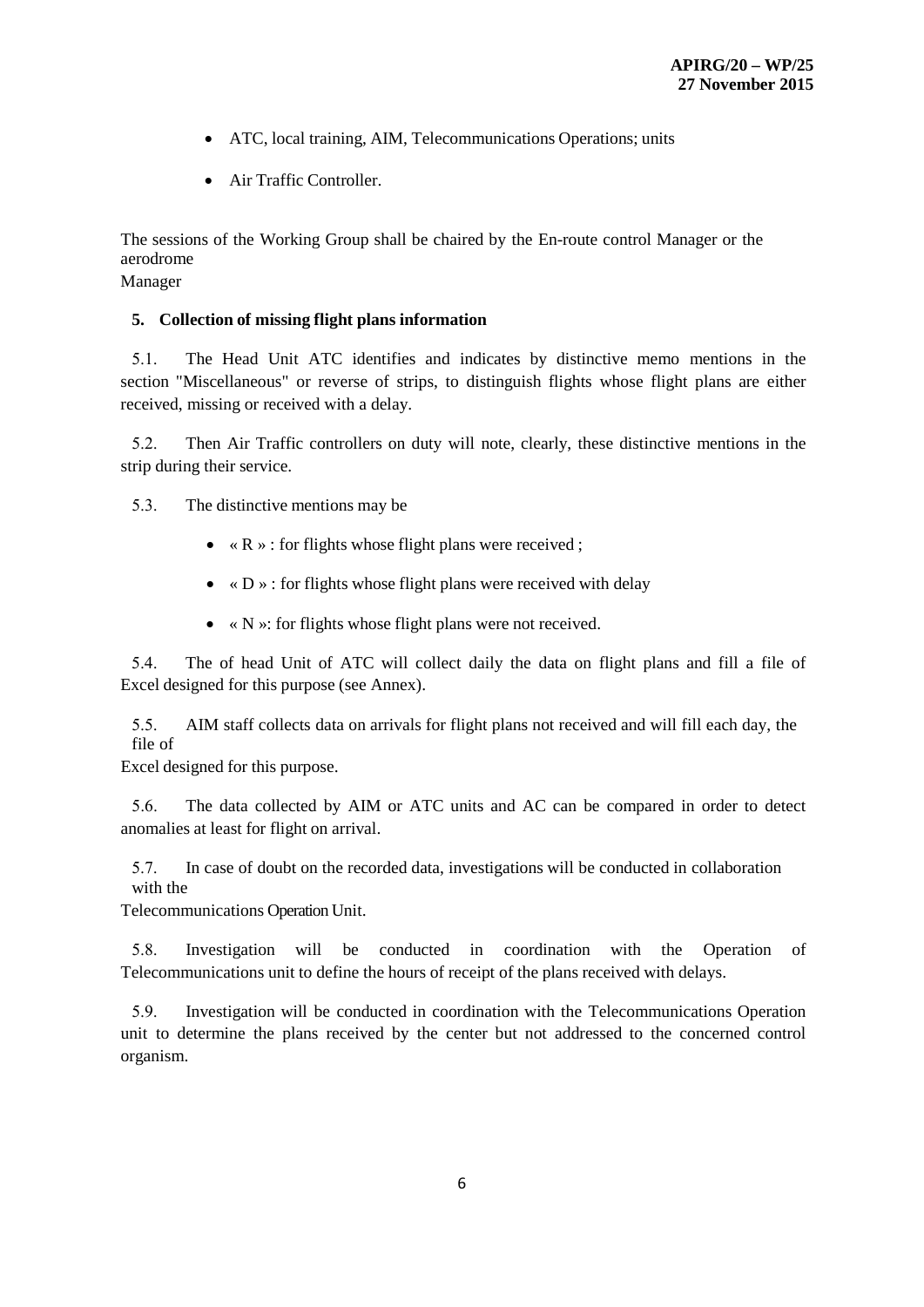- ATC, local training, AIM, Telecommunications Operations; units
- Air Traffic Controller.

The sessions of the Working Group shall be chaired by the En-route control Manager or the aerodrome

Manager

#### **5. Collection of missing flight plans information**

5.1. The Head Unit ATC identifies and indicates by distinctive memo mentions in the section "Miscellaneous" or reverse of strips, to distinguish flights whose flight plans are either received, missing or received with a delay.

5.2. Then Air Traffic controllers on duty will note, clearly, these distinctive mentions in the strip during their service.

5.3. The distinctive mentions may be

- $\langle R \rangle$  : for flights whose flight plans were received ;
- $\times$  D  $\times$  : for flights whose flight plans were received with delay
- $\bullet \ \ \ll N \times$ : for flights whose flight plans were not received.

5.4. The of head Unit of ATC will collect daily the data on flight plans and fill a file of Excel designed for this purpose (see Annex).

5.5. AIM staff collects data on arrivals for flight plans not received and will fill each day, the file of

Excel designed for this purpose.

5.6. The data collected by AIM or ATC units and AC can be compared in order to detect anomalies at least for flight on arrival.

5.7. In case of doubt on the recorded data, investigations will be conducted in collaboration with the

Telecommunications Operation Unit.

5.8. Investigation will be conducted in coordination with the Operation of Telecommunications unit to define the hours of receipt of the plans received with delays.

5.9. Investigation will be conducted in coordination with the Telecommunications Operation unit to determine the plans received by the center but not addressed to the concerned control organism.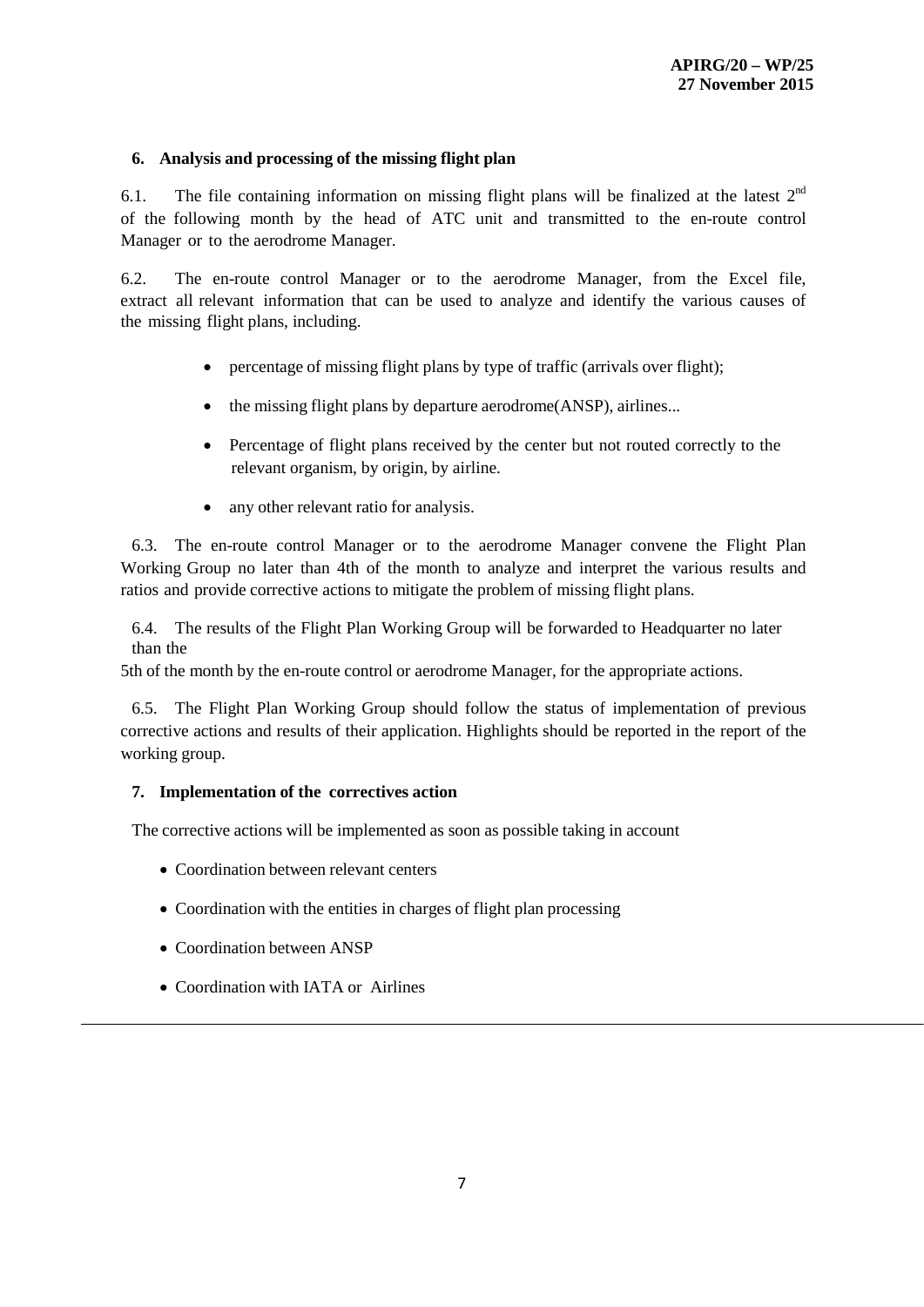## **6. Analysis and processing of the missing flight plan**

6.1. The file containing information on missing flight plans will be finalized at the latest  $2<sup>nd</sup>$ of the following month by the head of ATC unit and transmitted to the en-route control Manager or to the aerodrome Manager.

6.2. The en-route control Manager or to the aerodrome Manager, from the Excel file, extract all relevant information that can be used to analyze and identify the various causes of the missing flight plans, including.

- percentage of missing flight plans by type of traffic (arrivals over flight);
- the missing flight plans by departure aerodrome(ANSP), airlines...
- Percentage of flight plans received by the center but not routed correctly to the relevant organism, by origin, by airline.
- any other relevant ratio for analysis.

6.3. The en-route control Manager or to the aerodrome Manager convene the Flight Plan Working Group no later than 4th of the month to analyze and interpret the various results and ratios and provide corrective actions to mitigate the problem of missing flight plans.

6.4. The results of the Flight Plan Working Group will be forwarded to Headquarter no later than the

5th of the month by the en-route control or aerodrome Manager, for the appropriate actions.

6.5. The Flight Plan Working Group should follow the status of implementation of previous corrective actions and results of their application. Highlights should be reported in the report of the working group.

# **7. Implementation of the correctives action**

The corrective actions will be implemented as soon as possible taking in account

- Coordination between relevant centers
- Coordination with the entities in charges of flight plan processing
- Coordination between ANSP
- Coordination with IATA or Airlines